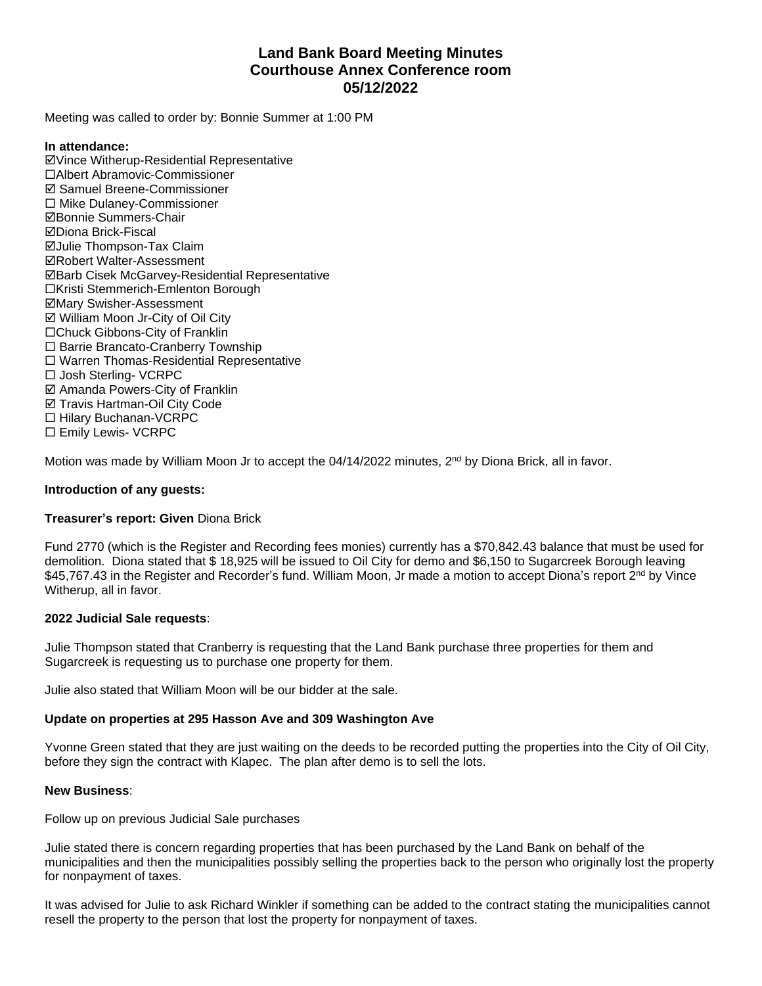# **Land Bank Board Meeting Minutes Courthouse Annex Conference room 05/12/2022**

Meeting was called to order by: Bonnie Summer at 1:00 PM

#### **In attendance:**

þVince Witherup-Residential Representative ¨Albert Abramovic-Commissioner  $⊓$  **Samuel Breene-Commissioner**  $\square$  Mike Dulaney-Commissioner þBonnie Summers-Chair þDiona Brick-Fiscal **ØJulie Thompson-Tax Claim ØRobert Walter-Assessment** þBarb Cisek McGarvey-Residential Representative □Kristi Stemmerich-Emlenton Borough þMary Swisher-Assessment  $\boxtimes$  William Moon Jr-City of Oil City □Chuck Gibbons-City of Franklin □ Barrie Brancato-Cranberry Township  $\square$  Warren Thomas-Residential Representative □ Josh Sterling- VCRPC þ Amanda Powers-City of Franklin **Ø Travis Hartman-Oil City Code** □ Hilary Buchanan-VCRPC □ Emily Lewis- VCRPC

Motion was made by William Moon Jr to accept the 04/14/2022 minutes, 2<sup>nd</sup> by Diona Brick, all in favor.

### **Introduction of any guests:**

### **Treasurer's report: Given** Diona Brick

Fund 2770 (which is the Register and Recording fees monies) currently has a \$70,842.43 balance that must be used for demolition. Diona stated that \$ 18,925 will be issued to Oil City for demo and \$6,150 to Sugarcreek Borough leaving \$45,767.43 in the Register and Recorder's fund. William Moon, Jr made a motion to accept Diona's report 2<sup>nd</sup> by Vince Witherup, all in favor.

### **2022 Judicial Sale requests**:

Julie Thompson stated that Cranberry is requesting that the Land Bank purchase three properties for them and Sugarcreek is requesting us to purchase one property for them.

Julie also stated that William Moon will be our bidder at the sale.

### **Update on properties at 295 Hasson Ave and 309 Washington Ave**

Yvonne Green stated that they are just waiting on the deeds to be recorded putting the properties into the City of Oil City, before they sign the contract with Klapec. The plan after demo is to sell the lots.

#### **New Business**:

Follow up on previous Judicial Sale purchases

Julie stated there is concern regarding properties that has been purchased by the Land Bank on behalf of the municipalities and then the municipalities possibly selling the properties back to the person who originally lost the property for nonpayment of taxes.

It was advised for Julie to ask Richard Winkler if something can be added to the contract stating the municipalities cannot resell the property to the person that lost the property for nonpayment of taxes.